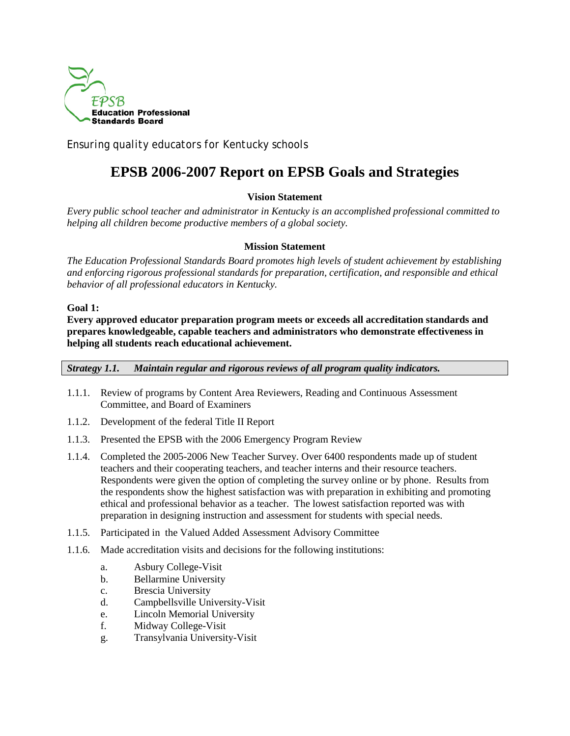

*Ensuring quality educators for Kentucky schools*

# **EPSB 2006-2007 Report on EPSB Goals and Strategies**

# **Vision Statement**

*Every public school teacher and administrator in Kentucky is an accomplished professional committed to helping all children become productive members of a global society.* 

# **Mission Statement**

*The Education Professional Standards Board promotes high levels of student achievement by establishing and enforcing rigorous professional standards for preparation, certification, and responsible and ethical behavior of all professional educators in Kentucky.* 

# **Goal 1:**

**Every approved educator preparation program meets or exceeds all accreditation standards and prepares knowledgeable, capable teachers and administrators who demonstrate effectiveness in helping all students reach educational achievement.**

*Strategy 1.1. Maintain regular and rigorous reviews of all program quality indicators.*

- 1.1.1. Review of programs by Content Area Reviewers, Reading and Continuous Assessment Committee, and Board of Examiners
- 1.1.2. Development of the federal Title II Report
- 1.1.3. Presented the EPSB with the 2006 Emergency Program Review
- 1.1.4. Completed the 2005-2006 New Teacher Survey. Over 6400 respondents made up of student teachers and their cooperating teachers, and teacher interns and their resource teachers. Respondents were given the option of completing the survey online or by phone. Results from the respondents show the highest satisfaction was with preparation in exhibiting and promoting ethical and professional behavior as a teacher. The lowest satisfaction reported was with preparation in designing instruction and assessment for students with special needs.
- 1.1.5. Participated in the Valued Added Assessment Advisory Committee
- 1.1.6. Made accreditation visits and decisions for the following institutions:
	- a. Asbury College-Visit
	- b. Bellarmine University
	- c. Brescia University
	- d. Campbellsville University-Visit
	- e. Lincoln Memorial University
	- f. Midway College-Visit
	- g. Transylvania University-Visit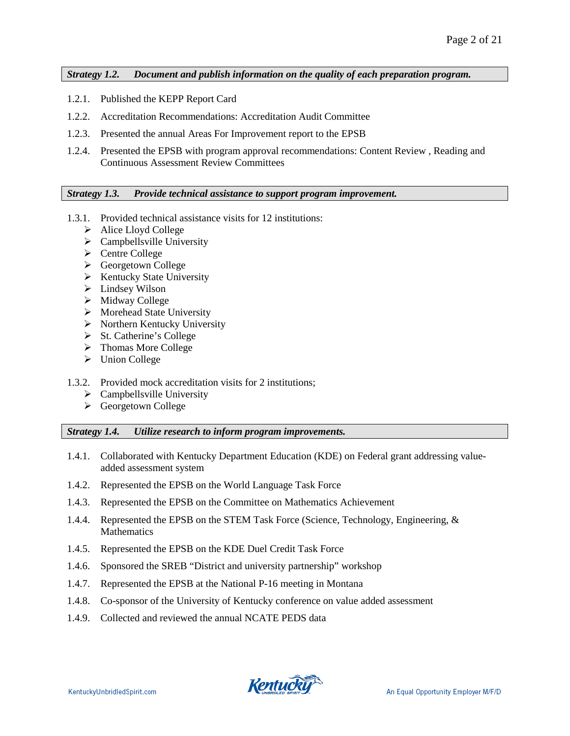*Strategy 1.2. Document and publish information on the quality of each preparation program.*

- 1.2.1. Published the KEPP Report Card
- 1.2.2. Accreditation Recommendations: Accreditation Audit Committee
- 1.2.3. Presented the annual Areas For Improvement report to the EPSB
- 1.2.4. Presented the EPSB with program approval recommendations: Content Review , Reading and Continuous Assessment Review Committees

#### *Strategy 1.3. Provide technical assistance to support program improvement.*

- 1.3.1. Provided technical assistance visits for 12 institutions:
	- > Alice Lloyd College
	- $\triangleright$  Campbellsville University
	- **►** Centre College
	- Georgetown College
	- $\triangleright$  Kentucky State University
	- $\blacktriangleright$  Lindsey Wilson
	- $\triangleright$  Midway College
	- $\triangleright$  Morehead State University
	- $\triangleright$  Northern Kentucky University
	- $\triangleright$  St. Catherine's College
	- > Thomas More College
	- > Union College
- 1.3.2. Provided mock accreditation visits for 2 institutions;
	- $\triangleright$  Campbellsville University
	- Georgetown College

#### *Strategy 1.4. Utilize research to inform program improvements.*

- 1.4.1. Collaborated with Kentucky Department Education (KDE) on Federal grant addressing valueadded assessment system
- 1.4.2. Represented the EPSB on the World Language Task Force
- 1.4.3. Represented the EPSB on the Committee on Mathematics Achievement
- 1.4.4. Represented the EPSB on the STEM Task Force (Science, Technology, Engineering, & **Mathematics**
- 1.4.5. Represented the EPSB on the KDE Duel Credit Task Force
- 1.4.6. Sponsored the SREB "District and university partnership" workshop
- 1.4.7. Represented the EPSB at the National P-16 meeting in Montana
- 1.4.8. Co-sponsor of the University of Kentucky conference on value added assessment
- 1.4.9. Collected and reviewed the annual NCATE PEDS data

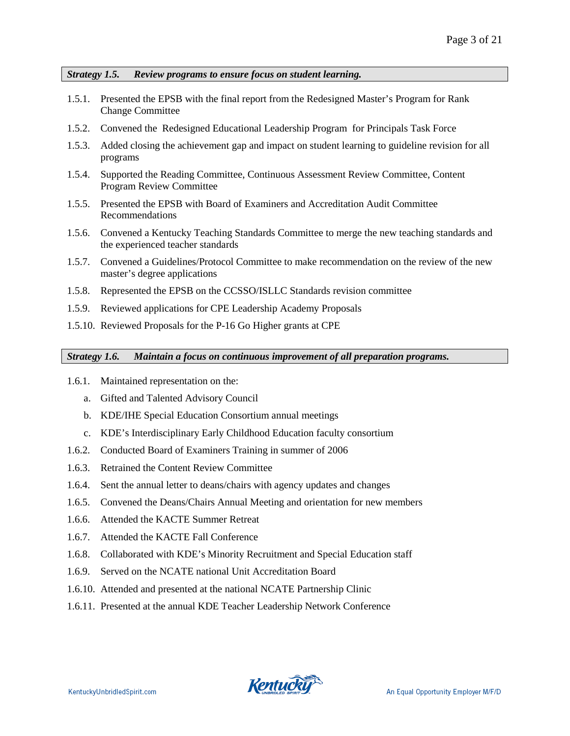*Strategy 1.5. Review programs to ensure focus on student learning.*

- 1.5.1. Presented the EPSB with the final report from the Redesigned Master's Program for Rank Change Committee
- 1.5.2. Convened the Redesigned Educational Leadership Program for Principals Task Force
- 1.5.3. Added closing the achievement gap and impact on student learning to guideline revision for all programs
- 1.5.4. Supported the Reading Committee, Continuous Assessment Review Committee, Content Program Review Committee
- 1.5.5. Presented the EPSB with Board of Examiners and Accreditation Audit Committee Recommendations
- 1.5.6. Convened a Kentucky Teaching Standards Committee to merge the new teaching standards and the experienced teacher standards
- 1.5.7. Convened a Guidelines/Protocol Committee to make recommendation on the review of the new master's degree applications
- 1.5.8. Represented the EPSB on the CCSSO/ISLLC Standards revision committee
- 1.5.9. Reviewed applications for CPE Leadership Academy Proposals
- 1.5.10. Reviewed Proposals for the P-16 Go Higher grants at CPE

*Strategy 1.6. Maintain a focus on continuous improvement of all preparation programs.* 

- 1.6.1. Maintained representation on the:
	- a. Gifted and Talented Advisory Council
	- b. KDE/IHE Special Education Consortium annual meetings
	- c. KDE's Interdisciplinary Early Childhood Education faculty consortium
- 1.6.2. Conducted Board of Examiners Training in summer of 2006
- 1.6.3. Retrained the Content Review Committee
- 1.6.4. Sent the annual letter to deans/chairs with agency updates and changes
- 1.6.5. Convened the Deans/Chairs Annual Meeting and orientation for new members
- 1.6.6. Attended the KACTE Summer Retreat
- 1.6.7. Attended the KACTE Fall Conference
- 1.6.8. Collaborated with KDE's Minority Recruitment and Special Education staff
- 1.6.9. Served on the NCATE national Unit Accreditation Board
- 1.6.10. Attended and presented at the national NCATE Partnership Clinic
- 1.6.11. Presented at the annual KDE Teacher Leadership Network Conference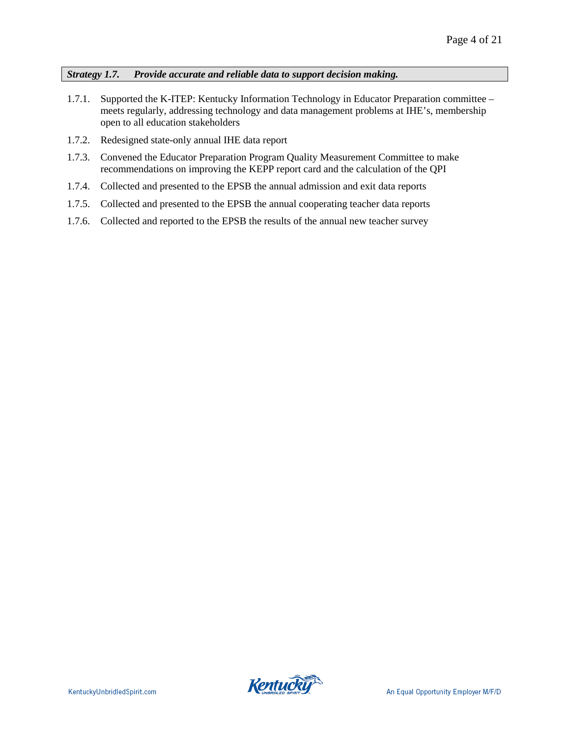*Strategy 1.7. Provide accurate and reliable data to support decision making.*

- 1.7.1. Supported the K-ITEP: Kentucky Information Technology in Educator Preparation committee meets regularly, addressing technology and data management problems at IHE's, membership open to all education stakeholders
- 1.7.2. Redesigned state-only annual IHE data report
- 1.7.3. Convened the Educator Preparation Program Quality Measurement Committee to make recommendations on improving the KEPP report card and the calculation of the QPI
- 1.7.4. Collected and presented to the EPSB the annual admission and exit data reports
- 1.7.5. Collected and presented to the EPSB the annual cooperating teacher data reports
- 1.7.6. Collected and reported to the EPSB the results of the annual new teacher survey

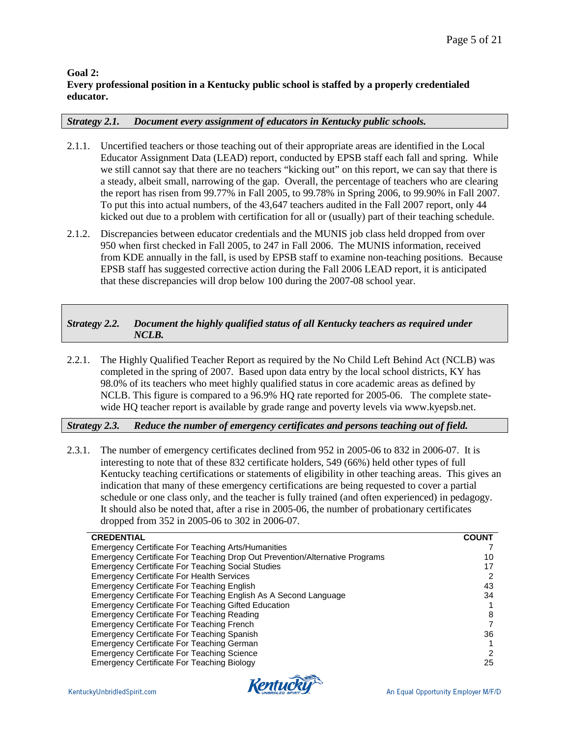# **Goal 2: Every professional position in a Kentucky public school is staffed by a properly credentialed educator.**

### *Strategy 2.1. Document every assignment of educators in Kentucky public schools.*

- 2.1.1. Uncertified teachers or those teaching out of their appropriate areas are identified in the Local Educator Assignment Data (LEAD) report, conducted by EPSB staff each fall and spring. While we still cannot say that there are no teachers "kicking out" on this report, we can say that there is a steady, albeit small, narrowing of the gap. Overall, the percentage of teachers who are clearing the report has risen from 99.77% in Fall 2005, to 99.78% in Spring 2006, to 99.90% in Fall 2007. To put this into actual numbers, of the 43,647 teachers audited in the Fall 2007 report, only 44 kicked out due to a problem with certification for all or (usually) part of their teaching schedule.
- 2.1.2. Discrepancies between educator credentials and the MUNIS job class held dropped from over 950 when first checked in Fall 2005, to 247 in Fall 2006. The MUNIS information, received from KDE annually in the fall, is used by EPSB staff to examine non-teaching positions. Because EPSB staff has suggested corrective action during the Fall 2006 LEAD report, it is anticipated that these discrepancies will drop below 100 during the 2007-08 school year.

# *Strategy 2.2. Document the highly qualified status of all Kentucky teachers as required under NCLB.*

2.2.1. The Highly Qualified Teacher Report as required by the No Child Left Behind Act (NCLB) was completed in the spring of 2007. Based upon data entry by the local school districts, KY has 98.0% of its teachers who meet highly qualified status in core academic areas as defined by NCLB. This figure is compared to a 96.9% HQ rate reported for 2005-06. The complete statewide HQ teacher report is available by grade range and poverty levels via www.kyepsb.net.

# *Strategy 2.3. Reduce the number of emergency certificates and persons teaching out of field.*

2.3.1. The number of emergency certificates declined from 952 in 2005-06 to 832 in 2006-07. It is interesting to note that of these 832 certificate holders, 549 (66%) held other types of full Kentucky teaching certifications or statements of eligibility in other teaching areas. This gives an indication that many of these emergency certifications are being requested to cover a partial schedule or one class only, and the teacher is fully trained (and often experienced) in pedagogy. It should also be noted that, after a rise in 2005-06, the number of probationary certificates dropped from 352 in 2005-06 to 302 in 2006-07.

| <b>CREDENTIAL</b>                                                           | <b>COUNT</b> |
|-----------------------------------------------------------------------------|--------------|
| <b>Emergency Certificate For Teaching Arts/Humanities</b>                   |              |
| Emergency Certificate For Teaching Drop Out Prevention/Alternative Programs | 10           |
| <b>Emergency Certificate For Teaching Social Studies</b>                    | 17           |
| <b>Emergency Certificate For Health Services</b>                            | 2            |
| <b>Emergency Certificate For Teaching English</b>                           | 43           |
| Emergency Certificate For Teaching English As A Second Language             | 34           |
| Emergency Certificate For Teaching Gifted Education                         |              |
| <b>Emergency Certificate For Teaching Reading</b>                           | 8            |
| <b>Emergency Certificate For Teaching French</b>                            |              |
| Emergency Certificate For Teaching Spanish                                  | 36           |
| Emergency Certificate For Teaching German                                   |              |
| <b>Emergency Certificate For Teaching Science</b>                           | 2            |
| <b>Emergency Certificate For Teaching Biology</b>                           | 25           |

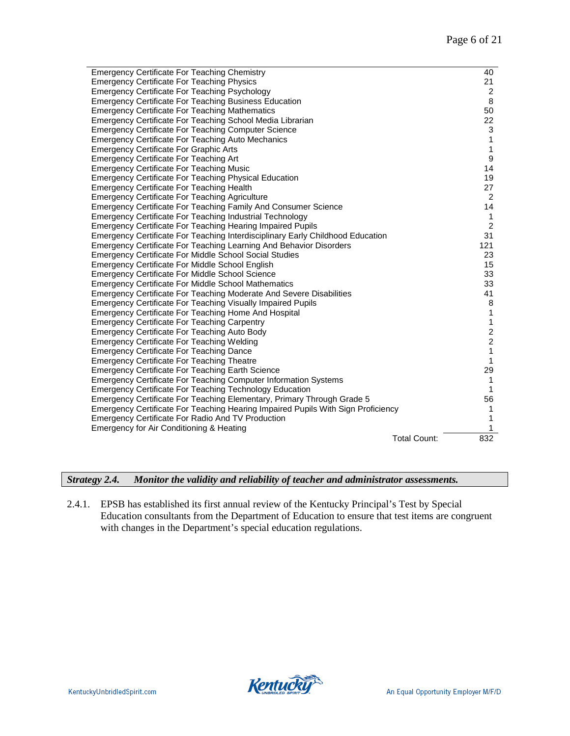| <b>Emergency Certificate For Teaching Chemistry</b>                              |                     | 40             |
|----------------------------------------------------------------------------------|---------------------|----------------|
| <b>Emergency Certificate For Teaching Physics</b>                                |                     | 21             |
| <b>Emergency Certificate For Teaching Psychology</b>                             |                     | 2              |
| <b>Emergency Certificate For Teaching Business Education</b>                     |                     | 8              |
| <b>Emergency Certificate For Teaching Mathematics</b>                            |                     | 50             |
| Emergency Certificate For Teaching School Media Librarian                        |                     | 22             |
| <b>Emergency Certificate For Teaching Computer Science</b>                       |                     | 3              |
| Emergency Certificate For Teaching Auto Mechanics                                |                     | 1              |
| <b>Emergency Certificate For Graphic Arts</b>                                    |                     | 1              |
| <b>Emergency Certificate For Teaching Art</b>                                    |                     | 9              |
| <b>Emergency Certificate For Teaching Music</b>                                  |                     | 14             |
| <b>Emergency Certificate For Teaching Physical Education</b>                     |                     | 19             |
| <b>Emergency Certificate For Teaching Health</b>                                 |                     | 27             |
| <b>Emergency Certificate For Teaching Agriculture</b>                            |                     | $\overline{2}$ |
| Emergency Certificate For Teaching Family And Consumer Science                   |                     | 14             |
| <b>Emergency Certificate For Teaching Industrial Technology</b>                  |                     | 1              |
| <b>Emergency Certificate For Teaching Hearing Impaired Pupils</b>                |                     | 2              |
| Emergency Certificate For Teaching Interdisciplinary Early Childhood Education   |                     | 31             |
| Emergency Certificate For Teaching Learning And Behavior Disorders               |                     | 121            |
| <b>Emergency Certificate For Middle School Social Studies</b>                    |                     | 23             |
| <b>Emergency Certificate For Middle School English</b>                           |                     | 15             |
| <b>Emergency Certificate For Middle School Science</b>                           |                     | 33             |
| <b>Emergency Certificate For Middle School Mathematics</b>                       |                     | 33             |
| Emergency Certificate For Teaching Moderate And Severe Disabilities              |                     | 41             |
| <b>Emergency Certificate For Teaching Visually Impaired Pupils</b>               |                     | 8              |
| Emergency Certificate For Teaching Home And Hospital                             |                     | 1              |
| <b>Emergency Certificate For Teaching Carpentry</b>                              |                     | 1              |
| Emergency Certificate For Teaching Auto Body                                     |                     | $\overline{c}$ |
| <b>Emergency Certificate For Teaching Welding</b>                                |                     | $\overline{2}$ |
| <b>Emergency Certificate For Teaching Dance</b>                                  |                     | $\mathbf{1}$   |
| <b>Emergency Certificate For Teaching Theatre</b>                                |                     | 1              |
| <b>Emergency Certificate For Teaching Earth Science</b>                          |                     | 29             |
| <b>Emergency Certificate For Teaching Computer Information Systems</b>           |                     | $\mathbf{1}$   |
| <b>Emergency Certificate For Teaching Technology Education</b>                   |                     | 1              |
| Emergency Certificate For Teaching Elementary, Primary Through Grade 5           |                     | 56             |
| Emergency Certificate For Teaching Hearing Impaired Pupils With Sign Proficiency |                     | 1              |
| Emergency Certificate For Radio And TV Production                                |                     | 1              |
| Emergency for Air Conditioning & Heating                                         |                     | 1              |
|                                                                                  | <b>Total Count:</b> | 832            |
|                                                                                  |                     |                |

*Strategy 2.4. Monitor the validity and reliability of teacher and administrator assessments.*

2.4.1. EPSB has established its first annual review of the Kentucky Principal's Test by Special Education consultants from the Department of Education to ensure that test items are congruent with changes in the Department's special education regulations.

**Kentucky**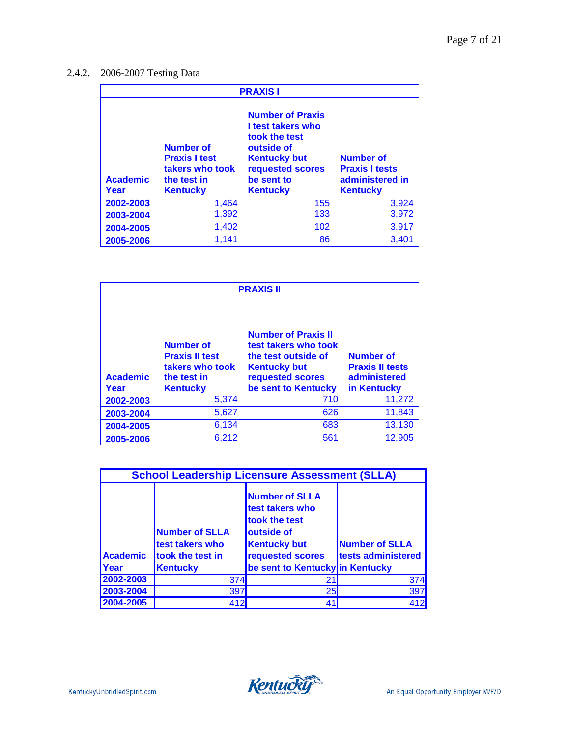# 2.4.2. 2006-2007 Testing Data

| <b>PRAXISI</b>          |                                                                                               |                                                                                                                                                         |                                                                                 |  |
|-------------------------|-----------------------------------------------------------------------------------------------|---------------------------------------------------------------------------------------------------------------------------------------------------------|---------------------------------------------------------------------------------|--|
| <b>Academic</b><br>Year | <b>Number of</b><br><b>Praxis I test</b><br>takers who took<br>the test in<br><b>Kentucky</b> | <b>Number of Praxis</b><br>I test takers who<br>took the test<br>outside of<br><b>Kentucky but</b><br>requested scores<br>be sent to<br><b>Kentucky</b> | <b>Number of</b><br><b>Praxis I tests</b><br>administered in<br><b>Kentucky</b> |  |
| 2002-2003               | 1,464                                                                                         | 155                                                                                                                                                     | 3,924                                                                           |  |
| 2003-2004               | 1,392                                                                                         | 133                                                                                                                                                     | 3,972                                                                           |  |
| 2004-2005               | 1,402                                                                                         | 102                                                                                                                                                     | 3,917                                                                           |  |
| 2005-2006               | 1,141                                                                                         | 86                                                                                                                                                      | 3,401                                                                           |  |

| <b>PRAXIS II</b>        |                                                                                                |                                                                                                                                             |                                                                           |  |
|-------------------------|------------------------------------------------------------------------------------------------|---------------------------------------------------------------------------------------------------------------------------------------------|---------------------------------------------------------------------------|--|
| <b>Academic</b><br>Year | <b>Number of</b><br><b>Praxis II test</b><br>takers who took<br>the test in<br><b>Kentucky</b> | <b>Number of Praxis II</b><br>test takers who took<br>the test outside of<br><b>Kentucky but</b><br>requested scores<br>be sent to Kentucky | <b>Number of</b><br><b>Praxis II tests</b><br>administered<br>in Kentucky |  |
| 2002-2003               | 5,374                                                                                          | 710                                                                                                                                         | 11,272                                                                    |  |
| 2003-2004               | 5,627                                                                                          | 626                                                                                                                                         | 11,843                                                                    |  |
| 2004-2005               | 6,134                                                                                          | 683                                                                                                                                         | 13,130                                                                    |  |
| 2005-2006               | 6,212                                                                                          | 561                                                                                                                                         | 12,905                                                                    |  |

| <b>School Leadership Licensure Assessment (SLLA)</b> |                                                                                                                                                                                                                                   |                                 |     |  |  |  |
|------------------------------------------------------|-----------------------------------------------------------------------------------------------------------------------------------------------------------------------------------------------------------------------------------|---------------------------------|-----|--|--|--|
| <b>Academic</b>                                      | <b>Number of SLLA</b><br>test takers who<br>took the test<br><b>Number of SLLA</b><br>outside of<br><b>Number of SLLA</b><br>test takers who<br><b>Kentucky but</b><br>requested scores<br>took the test in<br>tests administered |                                 |     |  |  |  |
| <b>Year</b>                                          | <b>Kentucky</b>                                                                                                                                                                                                                   | be sent to Kentucky in Kentucky |     |  |  |  |
| 2002-2003                                            | 374                                                                                                                                                                                                                               | 21                              | 374 |  |  |  |
| 2003-2004                                            | 397                                                                                                                                                                                                                               | 25                              | 397 |  |  |  |
| 2004-2005                                            | 412                                                                                                                                                                                                                               | 41                              | 412 |  |  |  |

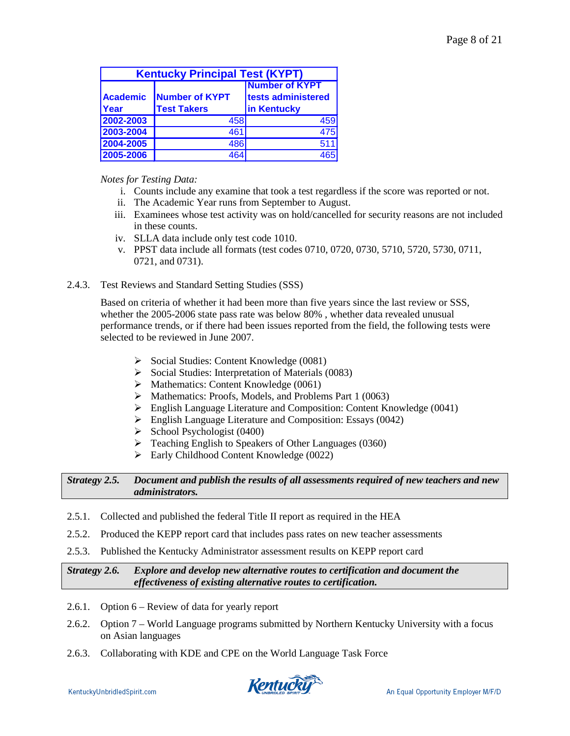| <b>Kentucky Principal Test (KYPT)</b>                                                   |                    |             |  |  |
|-----------------------------------------------------------------------------------------|--------------------|-------------|--|--|
| Number of <b>KYPT</b><br>tests administered<br>Number of <b>KYPT</b><br><b>Academic</b> |                    |             |  |  |
| <b>IYear</b>                                                                            | <b>Test Takers</b> | in Kentucky |  |  |
| 2002-2003                                                                               | 458                | 459         |  |  |
| 2003-2004                                                                               | 461                | 475         |  |  |
| 2004-2005                                                                               | 486                | 511         |  |  |
| 2005-2006                                                                               | 464                | 465         |  |  |

*Notes for Testing Data:* 

- i. Counts include any examine that took a test regardless if the score was reported or not.
- ii. The Academic Year runs from September to August.
- iii. Examinees whose test activity was on hold/cancelled for security reasons are not included in these counts.
- iv. SLLA data include only test code 1010.
- v. PPST data include all formats (test codes 0710, 0720, 0730, 5710, 5720, 5730, 0711, 0721, and 0731).

### 2.4.3. Test Reviews and Standard Setting Studies (SSS)

Based on criteria of whether it had been more than five years since the last review or SSS, whether the 2005-2006 state pass rate was below 80% , whether data revealed unusual performance trends, or if there had been issues reported from the field, the following tests were selected to be reviewed in June 2007.

- $\triangleright$  Social Studies: Content Knowledge (0081)
- $\triangleright$  Social Studies: Interpretation of Materials (0083)
- $\triangleright$  Mathematics: Content Knowledge (0061)
- $\blacktriangleright$  Mathematics: Proofs, Models, and Problems Part 1 (0063)
- English Language Literature and Composition: Content Knowledge (0041)
- English Language Literature and Composition: Essays (0042)
- $\triangleright$  School Psychologist (0400)
- $\triangleright$  Teaching English to Speakers of Other Languages (0360)
- $\triangleright$  Early Childhood Content Knowledge (0022)

*Strategy 2.5. Document and publish the results of all assessments required of new teachers and new administrators.* 

- 2.5.1. Collected and published the federal Title II report as required in the HEA
- 2.5.2. Produced the KEPP report card that includes pass rates on new teacher assessments
- 2.5.3. Published the Kentucky Administrator assessment results on KEPP report card

*Strategy 2.6. Explore and develop new alternative routes to certification and document the effectiveness of existing alternative routes to certification.* 

- 2.6.1. Option 6 Review of data for yearly report
- 2.6.2. Option 7 World Language programs submitted by Northern Kentucky University with a focus on Asian languages
- 2.6.3. Collaborating with KDE and CPE on the World Language Task Force

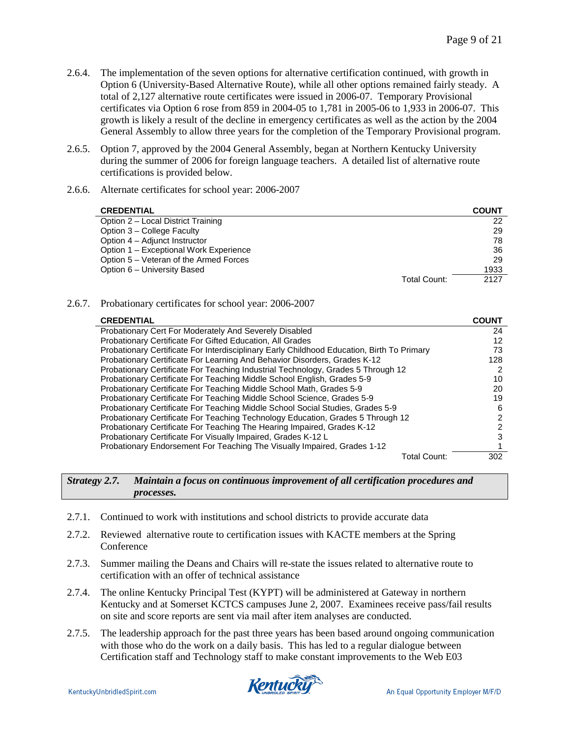- 2.6.4. The implementation of the seven options for alternative certification continued, with growth in Option 6 (University-Based Alternative Route), while all other options remained fairly steady. A total of 2,127 alternative route certificates were issued in 2006-07. Temporary Provisional certificates via Option 6 rose from 859 in 2004-05 to 1,781 in 2005-06 to 1,933 in 2006-07. This growth is likely a result of the decline in emergency certificates as well as the action by the 2004 General Assembly to allow three years for the completion of the Temporary Provisional program.
- 2.6.5. Option 7, approved by the 2004 General Assembly, began at Northern Kentucky University during the summer of 2006 for foreign language teachers. A detailed list of alternative route certifications is provided below.
- 2.6.6. Alternate certificates for school year: 2006-2007

| <b>CREDENTIAL</b>                      | <b>COUNT</b> |
|----------------------------------------|--------------|
| Option 2 - Local District Training     | 22           |
| Option 3 – College Faculty             | 29           |
| Option 4 – Adjunct Instructor          | 78           |
| Option 1 – Exceptional Work Experience | 36           |
| Option 5 – Veteran of the Armed Forces | 29           |
| Option 6 - University Based            | 1933         |
| Total Count:                           | 2127         |

2.6.7. Probationary certificates for school year: 2006-2007

| <b>CREDENTIAL</b>                                                                          | <b>COUNT</b> |
|--------------------------------------------------------------------------------------------|--------------|
| Probationary Cert For Moderately And Severely Disabled                                     | 24           |
| <b>Probationary Certificate For Gifted Education, All Grades</b>                           | 12           |
| Probationary Certificate For Interdisciplinary Early Childhood Education, Birth To Primary | 73           |
| Probationary Certificate For Learning And Behavior Disorders, Grades K-12                  | 128          |
| Probationary Certificate For Teaching Industrial Technology, Grades 5 Through 12           |              |
| Probationary Certificate For Teaching Middle School English, Grades 5-9                    | 10           |
| Probationary Certificate For Teaching Middle School Math, Grades 5-9                       | 20           |
| Probationary Certificate For Teaching Middle School Science, Grades 5-9                    | 19           |
| Probationary Certificate For Teaching Middle School Social Studies, Grades 5-9             | 6            |
| Probationary Certificate For Teaching Technology Education, Grades 5 Through 12            | 2            |
| Probationary Certificate For Teaching The Hearing Impaired, Grades K-12                    | 2            |
| Probationary Certificate For Visually Impaired, Grades K-12 L                              | з            |
| Probationary Endorsement For Teaching The Visually Impaired, Grades 1-12                   |              |
| Total Count:                                                                               | 302          |

*Strategy 2.7. Maintain a focus on continuous improvement of all certification procedures and processes.*

- 2.7.1. Continued to work with institutions and school districts to provide accurate data
- 2.7.2. Reviewed alternative route to certification issues with KACTE members at the Spring Conference
- 2.7.3. Summer mailing the Deans and Chairs will re-state the issues related to alternative route to certification with an offer of technical assistance
- 2.7.4. The online Kentucky Principal Test (KYPT) will be administered at Gateway in northern Kentucky and at Somerset KCTCS campuses June 2, 2007. Examinees receive pass/fail results on site and score reports are sent via mail after item analyses are conducted.
- 2.7.5. The leadership approach for the past three years has been based around ongoing communication with those who do the work on a daily basis. This has led to a regular dialogue between Certification staff and Technology staff to make constant improvements to the Web E03

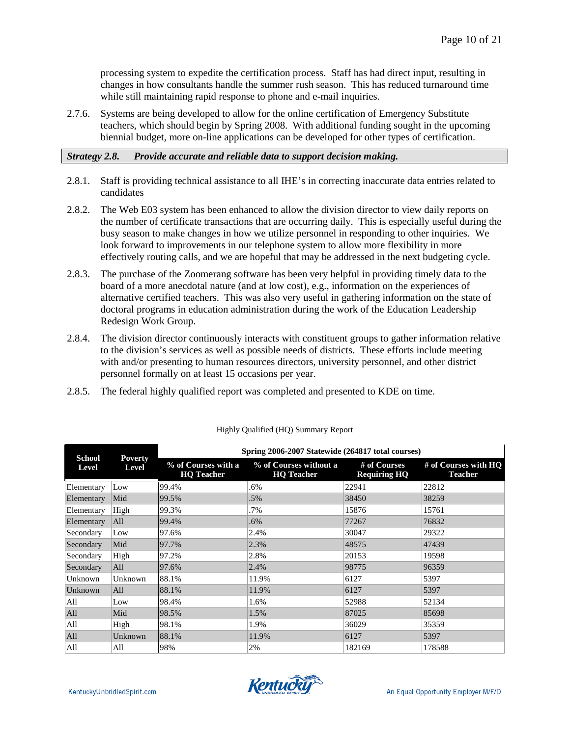processing system to expedite the certification process. Staff has had direct input, resulting in changes in how consultants handle the summer rush season. This has reduced turnaround time while still maintaining rapid response to phone and e-mail inquiries.

2.7.6. Systems are being developed to allow for the online certification of Emergency Substitute teachers, which should begin by Spring 2008. With additional funding sought in the upcoming biennial budget, more on-line applications can be developed for other types of certification.

# *Strategy 2.8. Provide accurate and reliable data to support decision making.*

- 2.8.1. Staff is providing technical assistance to all IHE's in correcting inaccurate data entries related to candidates
- 2.8.2. The Web E03 system has been enhanced to allow the division director to view daily reports on the number of certificate transactions that are occurring daily. This is especially useful during the busy season to make changes in how we utilize personnel in responding to other inquiries. We look forward to improvements in our telephone system to allow more flexibility in more effectively routing calls, and we are hopeful that may be addressed in the next budgeting cycle.
- 2.8.3. The purchase of the Zoomerang software has been very helpful in providing timely data to the board of a more anecdotal nature (and at low cost), e.g., information on the experiences of alternative certified teachers. This was also very useful in gathering information on the state of doctoral programs in education administration during the work of the Education Leadership Redesign Work Group.
- 2.8.4. The division director continuously interacts with constituent groups to gather information relative to the division's services as well as possible needs of districts. These efforts include meeting with and/or presenting to human resources directors, university personnel, and other district personnel formally on at least 15 occasions per year.
- 2.8.5. The federal highly qualified report was completed and presented to KDE on time.

| <b>School</b> | <b>Poverty</b> | Spring 2006-2007 Statewide (264817 total courses) |                                             |                                     |                                        |
|---------------|----------------|---------------------------------------------------|---------------------------------------------|-------------------------------------|----------------------------------------|
| Level         | <b>Level</b>   | % of Courses with a<br><b>HQ</b> Teacher          | % of Courses without a<br><b>HQ</b> Teacher | # of Courses<br><b>Requiring HQ</b> | # of Courses with HO<br><b>Teacher</b> |
| Elementary    | Low            | 99.4%                                             | .6%                                         | 22941                               | 22812                                  |
| Elementary    | Mid            | 99.5%                                             | .5%                                         | 38450                               | 38259                                  |
| Elementary    | High           | 99.3%                                             | .7%                                         | 15876                               | 15761                                  |
| Elementary    | All            | 99.4%                                             | .6%                                         | 77267                               | 76832                                  |
| Secondary     | Low            | 97.6%                                             | 2.4%                                        | 30047                               | 29322                                  |
| Secondary     | Mid            | 97.7%                                             | 2.3%                                        | 48575                               | 47439                                  |
| Secondary     | High           | 97.2%                                             | 2.8%                                        | 20153                               | 19598                                  |
| Secondary     | All            | 97.6%                                             | 2.4%                                        | 98775                               | 96359                                  |
| Unknown       | Unknown        | 88.1%                                             | 11.9%                                       | 6127                                | 5397                                   |
| Unknown       | All            | 88.1%                                             | 11.9%                                       | 6127                                | 5397                                   |
| All           | Low            | 98.4%                                             | 1.6%                                        | 52988                               | 52134                                  |
| All           | Mid            | 98.5%                                             | 1.5%                                        | 87025                               | 85698                                  |
| All           | High           | 98.1%                                             | 1.9%                                        | 36029                               | 35359                                  |
| All           | Unknown        | 88.1%                                             | 11.9%                                       | 6127                                | 5397                                   |
| All           | All            | 98%                                               | 2%                                          | 182169                              | 178588                                 |

#### Highly Qualified (HQ) Summary Report

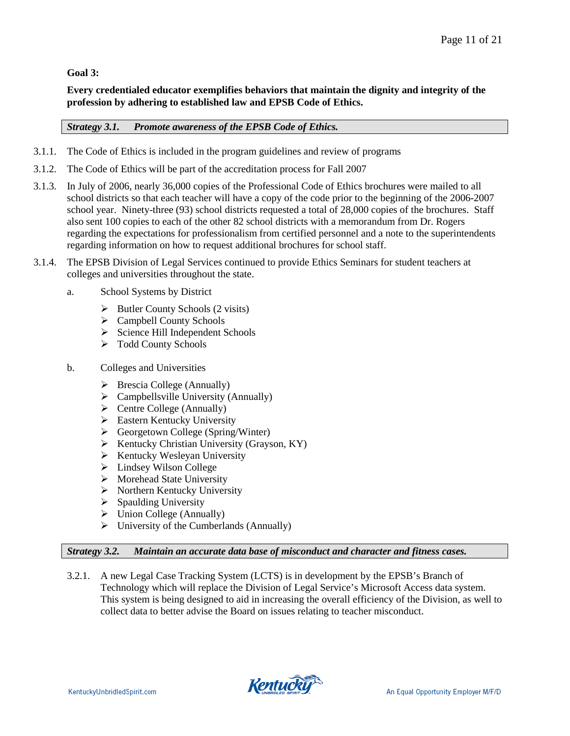# **Goal 3:**

**Every credentialed educator exemplifies behaviors that maintain the dignity and integrity of the profession by adhering to established law and EPSB Code of Ethics.**

# *Strategy 3.1. Promote awareness of the EPSB Code of Ethics.*

- 3.1.1. The Code of Ethics is included in the program guidelines and review of programs
- 3.1.2. The Code of Ethics will be part of the accreditation process for Fall 2007
- 3.1.3. In July of 2006, nearly 36,000 copies of the Professional Code of Ethics brochures were mailed to all school districts so that each teacher will have a copy of the code prior to the beginning of the 2006-2007 school year. Ninety-three (93) school districts requested a total of 28,000 copies of the brochures. Staff also sent 100 copies to each of the other 82 school districts with a memorandum from Dr. Rogers regarding the expectations for professionalism from certified personnel and a note to the superintendents regarding information on how to request additional brochures for school staff.
- 3.1.4. The EPSB Division of Legal Services continued to provide Ethics Seminars for student teachers at colleges and universities throughout the state.
	- a. School Systems by District
		- $\triangleright$  Butler County Schools (2 visits)
		- $\triangleright$  Campbell County Schools
		- $\triangleright$  Science Hill Independent Schools
		- $\triangleright$  Todd County Schools
	- b. Colleges and Universities
		- $\triangleright$  Brescia College (Annually)
		- $\triangleright$  Campbellsville University (Annually)
		- $\triangleright$  Centre College (Annually)
		- $\triangleright$  Eastern Kentucky University
		- Georgetown College (Spring/Winter)
		- $\triangleright$  Kentucky Christian University (Grayson, KY)
		- $\triangleright$  Kentucky Wesleyan University
		- $\blacktriangleright$  Lindsey Wilson College
		- $\triangleright$  Morehead State University
		- $\triangleright$  Northern Kentucky University
		- $\triangleright$  Spaulding University
		- $\triangleright$  Union College (Annually)
		- $\triangleright$  University of the Cumberlands (Annually)

# *Strategy 3.2. Maintain an accurate data base of misconduct and character and fitness cases.*

3.2.1. A new Legal Case Tracking System (LCTS) is in development by the EPSB's Branch of Technology which will replace the Division of Legal Service's Microsoft Access data system. This system is being designed to aid in increasing the overall efficiency of the Division, as well to collect data to better advise the Board on issues relating to teacher misconduct.

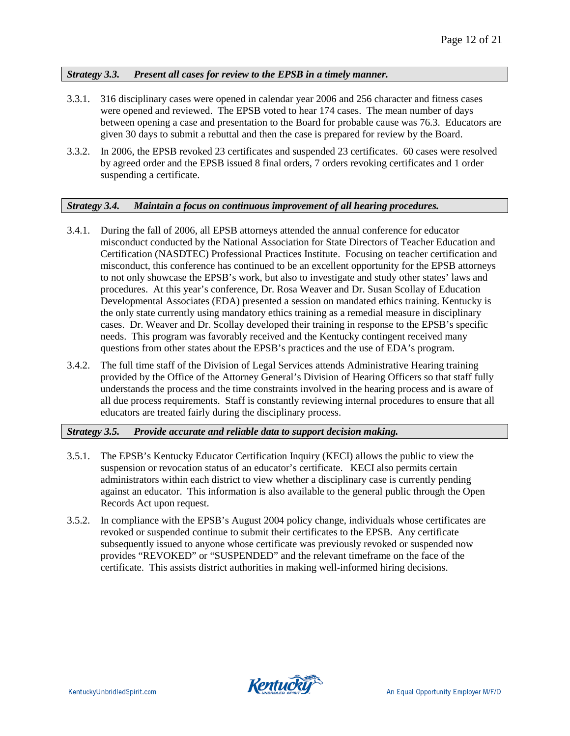# *Strategy 3.3. Present all cases for review to the EPSB in a timely manner.*

- 3.3.1. 316 disciplinary cases were opened in calendar year 2006 and 256 character and fitness cases were opened and reviewed. The EPSB voted to hear 174 cases. The mean number of days between opening a case and presentation to the Board for probable cause was 76.3. Educators are given 30 days to submit a rebuttal and then the case is prepared for review by the Board.
- 3.3.2. In 2006, the EPSB revoked 23 certificates and suspended 23 certificates. 60 cases were resolved by agreed order and the EPSB issued 8 final orders, 7 orders revoking certificates and 1 order suspending a certificate.

# *Strategy 3.4. Maintain a focus on continuous improvement of all hearing procedures.*

- 3.4.1. During the fall of 2006, all EPSB attorneys attended the annual conference for educator misconduct conducted by the National Association for State Directors of Teacher Education and Certification (NASDTEC) Professional Practices Institute. Focusing on teacher certification and misconduct, this conference has continued to be an excellent opportunity for the EPSB attorneys to not only showcase the EPSB's work, but also to investigate and study other states' laws and procedures. At this year's conference, Dr. Rosa Weaver and Dr. Susan Scollay of Education Developmental Associates (EDA) presented a session on mandated ethics training. Kentucky is the only state currently using mandatory ethics training as a remedial measure in disciplinary cases. Dr. Weaver and Dr. Scollay developed their training in response to the EPSB's specific needs. This program was favorably received and the Kentucky contingent received many questions from other states about the EPSB's practices and the use of EDA's program.
- 3.4.2. The full time staff of the Division of Legal Services attends Administrative Hearing training provided by the Office of the Attorney General's Division of Hearing Officers so that staff fully understands the process and the time constraints involved in the hearing process and is aware of all due process requirements. Staff is constantly reviewing internal procedures to ensure that all educators are treated fairly during the disciplinary process.

# *Strategy 3.5. Provide accurate and reliable data to support decision making.*

- 3.5.1. The EPSB's Kentucky Educator Certification Inquiry (KECI) allows the public to view the suspension or revocation status of an educator's certificate. KECI also permits certain administrators within each district to view whether a disciplinary case is currently pending against an educator. This information is also available to the general public through the Open Records Act upon request.
- 3.5.2. In compliance with the EPSB's August 2004 policy change, individuals whose certificates are revoked or suspended continue to submit their certificates to the EPSB. Any certificate subsequently issued to anyone whose certificate was previously revoked or suspended now provides "REVOKED" or "SUSPENDED" and the relevant timeframe on the face of the certificate. This assists district authorities in making well-informed hiring decisions.

KentuckyUnbridledSpirit.com

Kentucky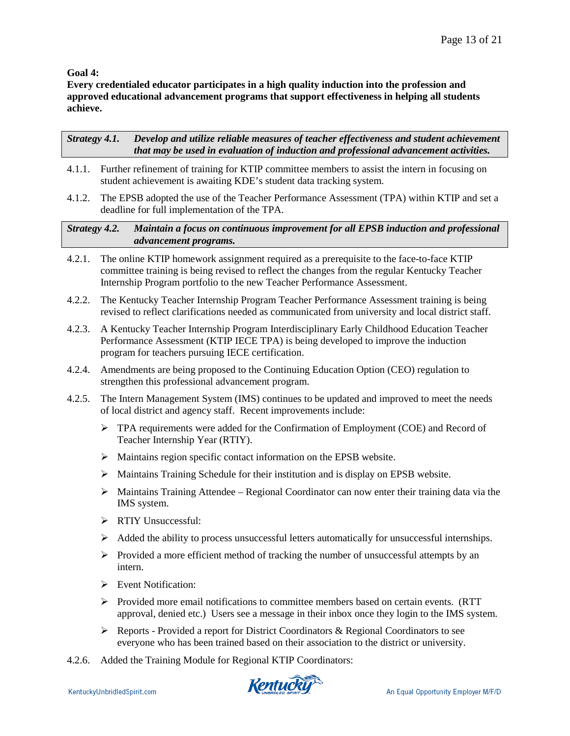# **Goal 4:**

**Every credentialed educator participates in a high quality induction into the profession and approved educational advancement programs that support effectiveness in helping all students achieve.**

*Strategy 4.1. Develop and utilize reliable measures of teacher effectiveness and student achievement that may be used in evaluation of induction and professional advancement activities.*

- 4.1.1. Further refinement of training for KTIP committee members to assist the intern in focusing on student achievement is awaiting KDE's student data tracking system.
- 4.1.2. The EPSB adopted the use of the Teacher Performance Assessment (TPA) within KTIP and set a deadline for full implementation of the TPA.

*Strategy 4.2. Maintain a focus on continuous improvement for all EPSB induction and professional advancement programs.*

- 4.2.1. The online KTIP homework assignment required as a prerequisite to the face-to-face KTIP committee training is being revised to reflect the changes from the regular Kentucky Teacher Internship Program portfolio to the new Teacher Performance Assessment.
- 4.2.2. The Kentucky Teacher Internship Program Teacher Performance Assessment training is being revised to reflect clarifications needed as communicated from university and local district staff.
- 4.2.3. A Kentucky Teacher Internship Program Interdisciplinary Early Childhood Education Teacher Performance Assessment (KTIP IECE TPA) is being developed to improve the induction program for teachers pursuing IECE certification.
- 4.2.4. Amendments are being proposed to the Continuing Education Option (CEO) regulation to strengthen this professional advancement program.
- 4.2.5. The Intern Management System (IMS) continues to be updated and improved to meet the needs of local district and agency staff. Recent improvements include:
	- $\triangleright$  TPA requirements were added for the Confirmation of Employment (COE) and Record of Teacher Internship Year (RTIY).
	- Maintains region specific contact information on the EPSB website.
	- $\triangleright$  Maintains Training Schedule for their institution and is display on EPSB website.
	- $\triangleright$  Maintains Training Attendee Regional Coordinator can now enter their training data via the IMS system.
	- > RTIY Unsuccessful:
	- $\triangleright$  Added the ability to process unsuccessful letters automatically for unsuccessful internships.
	- $\triangleright$  Provided a more efficient method of tracking the number of unsuccessful attempts by an intern.
	- $\triangleright$  Event Notification:
	- $\triangleright$  Provided more email notifications to committee members based on certain events. (RTT) approval, denied etc.) Users see a message in their inbox once they login to the IMS system.
	- $\triangleright$  Reports Provided a report for District Coordinators & Regional Coordinators to see everyone who has been trained based on their association to the district or university.
- 4.2.6. Added the Training Module for Regional KTIP Coordinators:

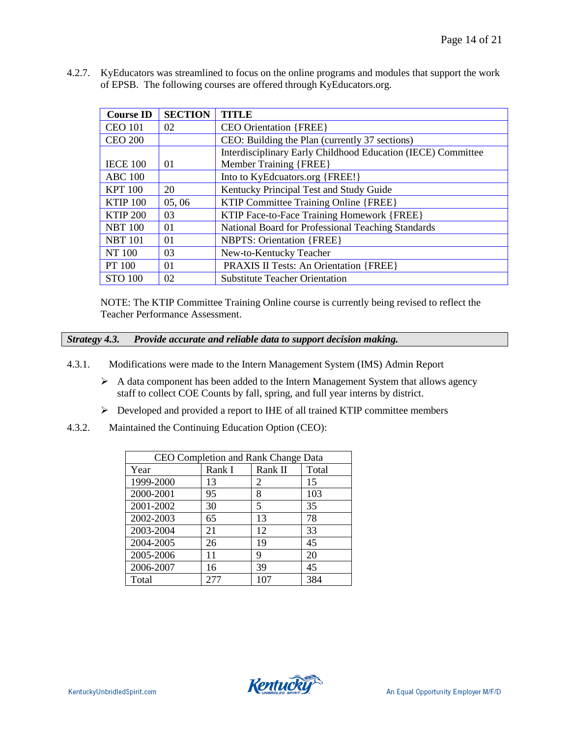| <b>Course ID</b> | <b>SECTION</b> | <b>TITLE</b>                                                 |
|------------------|----------------|--------------------------------------------------------------|
| <b>CEO 101</b>   | 02             | <b>CEO Orientation {FREE}</b>                                |
| <b>CEO 200</b>   |                | CEO: Building the Plan (currently 37 sections)               |
|                  |                | Interdisciplinary Early Childhood Education (IECE) Committee |
| <b>IECE 100</b>  | 01             | <b>Member Training {FREE}</b>                                |
| <b>ABC 100</b>   |                | Into to KyEdcuators.org {FREE!}                              |
| <b>KPT 100</b>   | 20             | Kentucky Principal Test and Study Guide                      |
| <b>KTIP 100</b>  | 05,06          | KTIP Committee Training Online {FREE}                        |
| <b>KTIP 200</b>  | 03             | KTIP Face-to-Face Training Homework {FREE}                   |
| <b>NBT 100</b>   | 01             | National Board for Professional Teaching Standards           |
| <b>NBT</b> 101   | 01             | <b>NBPTS: Orientation {FREE}</b>                             |
| NT 100           | 03             | New-to-Kentucky Teacher                                      |
| PT 100           | 01             | <b>PRAXIS II Tests: An Orientation {FREE}</b>                |
| <b>STO 100</b>   | 02             | <b>Substitute Teacher Orientation</b>                        |

4.2.7. KyEducators was streamlined to focus on the online programs and modules that support the work of EPSB. The following courses are offered through KyEducators.org.

NOTE: The KTIP Committee Training Online course is currently being revised to reflect the Teacher Performance Assessment.

*Strategy 4.3. Provide accurate and reliable data to support decision making.*

- 4.3.1. Modifications were made to the Intern Management System (IMS) Admin Report
	- $\triangleright$  A data component has been added to the Intern Management System that allows agency staff to collect COE Counts by fall, spring, and full year interns by district.
	- Developed and provided a report to IHE of all trained KTIP committee members
- 4.3.2. Maintained the Continuing Education Option (CEO):

| CEO Completion and Rank Change Data |        |         |       |  |  |
|-------------------------------------|--------|---------|-------|--|--|
| Year                                | Rank I | Rank II | Total |  |  |
| 1999-2000                           | 13     | 2       | 15    |  |  |
| 2000-2001                           | 95     | 8       | 103   |  |  |
| 2001-2002                           | 30     | 5       | 35    |  |  |
| 2002-2003                           | 65     | 13      | 78    |  |  |
| 2003-2004                           | 21     | 12      | 33    |  |  |
| 2004-2005                           | 26     | 19      | 45    |  |  |
| 2005-2006                           | 11     | 9       | 20    |  |  |
| 2006-2007                           | 16     | 39      | 45    |  |  |
| Total                               | 2.77   | 107     | 384   |  |  |

**Kentucky**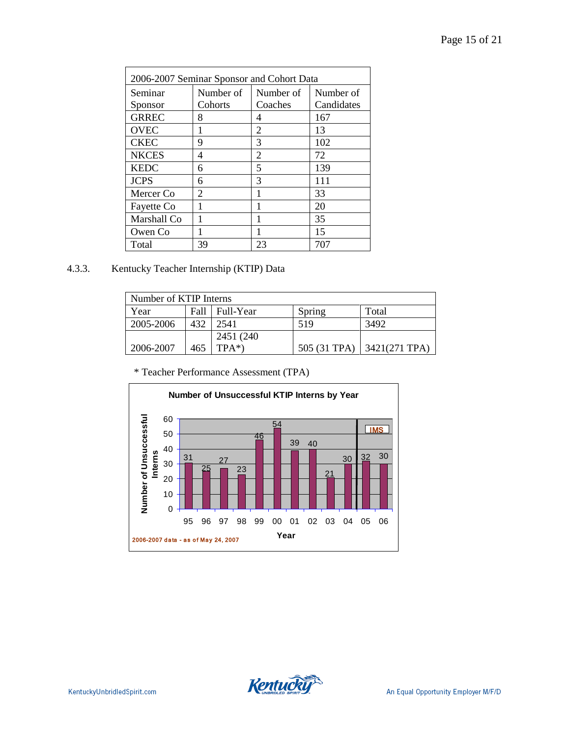| 2006-2007 Seminar Sponsor and Cohort Data |           |           |            |  |  |
|-------------------------------------------|-----------|-----------|------------|--|--|
| Seminar                                   | Number of | Number of | Number of  |  |  |
| Sponsor                                   | Cohorts   | Coaches   | Candidates |  |  |
| <b>GRREC</b>                              | 8         | 4         | 167        |  |  |
| <b>OVEC</b>                               | 1         | 2         | 13         |  |  |
| <b>CKEC</b>                               | 9         | 3         | 102        |  |  |
| <b>NKCES</b>                              | 4         | 2         | 72         |  |  |
| <b>KEDC</b>                               | 6         | 5         | 139        |  |  |
| <b>JCPS</b>                               | 6         | 3         | 111        |  |  |
| Mercer Co                                 | 2         |           | 33         |  |  |
| Fayette Co                                | 1         | 1         | 20         |  |  |
| Marshall Co                               |           |           | 35         |  |  |
| Owen Co                                   |           |           | 15         |  |  |
| Total                                     | 39        | 23        | 707        |  |  |

4.3.3. Kentucky Teacher Internship (KTIP) Data

| Number of KTIP Interns |       |            |              |                  |
|------------------------|-------|------------|--------------|------------------|
| Year                   | Fall- | Full-Year  | Spring       | Total            |
| 2005-2006              | 432   | 2541       | 519          | 3492             |
|                        |       | 2451 (240) |              |                  |
| 2006-2007              | 465   | $TPA^*$    | 505 (31 TPA) | $3421(271)$ TPA) |

\* Teacher Performance Assessment (TPA)



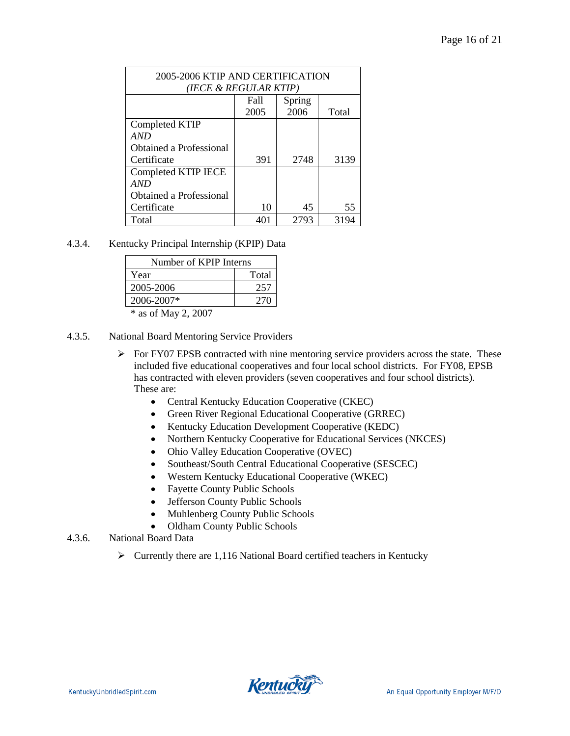| 2005-2006 KTIP AND CERTIFICATION<br>(IECE & REGULAR KTIP) |              |                |       |
|-----------------------------------------------------------|--------------|----------------|-------|
|                                                           | Fall<br>2005 | Spring<br>2006 | Total |
| Completed KTIP                                            |              |                |       |
| AND                                                       |              |                |       |
| Obtained a Professional                                   |              |                |       |
| Certificate                                               | 391          | 2748           | 3139  |
| Completed KTIP IECE                                       |              |                |       |
| AND                                                       |              |                |       |
| Obtained a Professional                                   |              |                |       |
| Certificate                                               | 10           | 45             | 55    |
| Total                                                     | 40           | 2793           | 3194  |

4.3.4. Kentucky Principal Internship (KPIP) Data

| Number of KPIP Interns |       |  |
|------------------------|-------|--|
| Year                   | Total |  |
| 2005-2006              | 257   |  |
| $2006 - 2007*$         | 270   |  |
| $*$ as of May 2. 2007  |       |  |

as of May 2, 2007

- 4.3.5. National Board Mentoring Service Providers
	- $\triangleright$  For FY07 EPSB contracted with nine mentoring service providers across the state. These included five educational cooperatives and four local school districts. For FY08, EPSB has contracted with eleven providers (seven cooperatives and four school districts). These are:
		- Central Kentucky Education Cooperative (CKEC)
		- Green River Regional Educational Cooperative (GRREC)
		- Kentucky Education Development Cooperative (KEDC)
		- Northern Kentucky Cooperative for Educational Services (NKCES)
		- Ohio Valley Education Cooperative (OVEC)
		- Southeast/South Central Educational Cooperative (SESCEC)
		- Western Kentucky Educational Cooperative (WKEC)
		- Fayette County Public Schools
		- Jefferson County Public Schools
		- Muhlenberg County Public Schools
		- Oldham County Public Schools
- 4.3.6. National Board Data
	- $\triangleright$  Currently there are 1,116 National Board certified teachers in Kentucky

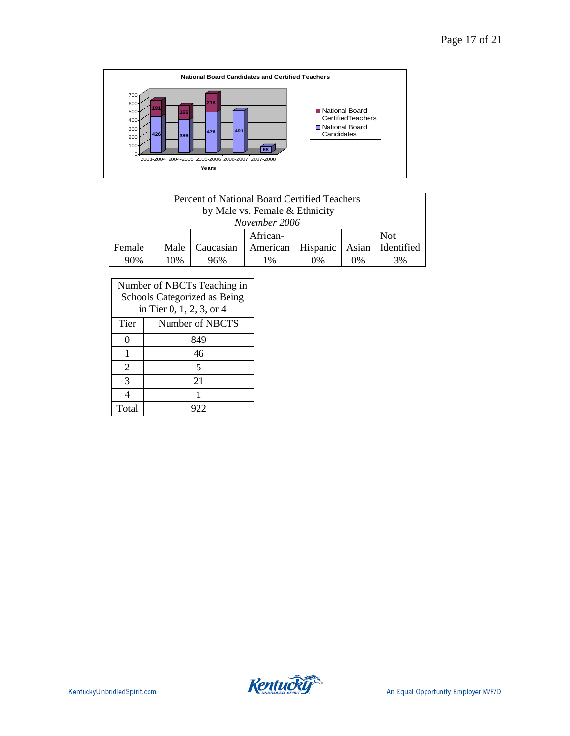

| Percent of National Board Certified Teachers    |      |           |          |          |       |            |
|-------------------------------------------------|------|-----------|----------|----------|-------|------------|
| by Male vs. Female & Ethnicity<br>November 2006 |      |           |          |          |       |            |
|                                                 |      |           | African- |          |       | <b>Not</b> |
| Female                                          | Male | Caucasian | American | Hispanic | Asian | Identified |
| 90%                                             | 10%  | 96%       | 1%       | $0\%$    | $0\%$ | 3%         |

| Number of NBCTs Teaching in<br>Schools Categorized as Being<br>in Tier 0, 1, 2, 3, or 4 |                 |  |
|-----------------------------------------------------------------------------------------|-----------------|--|
| Tier                                                                                    | Number of NBCTS |  |
|                                                                                         | 849             |  |
|                                                                                         | 46              |  |
| 2                                                                                       | 5               |  |
| 3                                                                                       | 21              |  |
|                                                                                         |                 |  |
| Total                                                                                   | 922             |  |

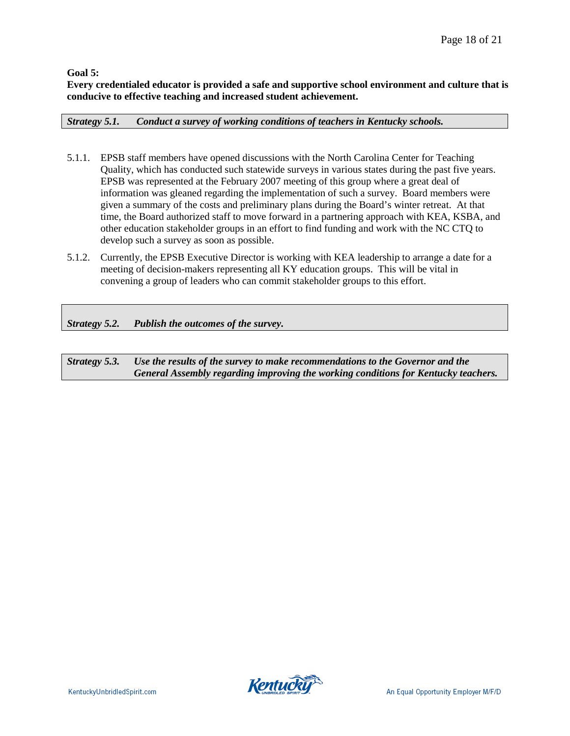**Goal 5:** 

**Every credentialed educator is provided a safe and supportive school environment and culture that is conducive to effective teaching and increased student achievement.**

*Strategy 5.1. Conduct a survey of working conditions of teachers in Kentucky schools.*

- 5.1.1. EPSB staff members have opened discussions with the North Carolina Center for Teaching Quality, which has conducted such statewide surveys in various states during the past five years. EPSB was represented at the February 2007 meeting of this group where a great deal of information was gleaned regarding the implementation of such a survey. Board members were given a summary of the costs and preliminary plans during the Board's winter retreat. At that time, the Board authorized staff to move forward in a partnering approach with KEA, KSBA, and other education stakeholder groups in an effort to find funding and work with the NC CTQ to develop such a survey as soon as possible.
- 5.1.2. Currently, the EPSB Executive Director is working with KEA leadership to arrange a date for a meeting of decision-makers representing all KY education groups. This will be vital in convening a group of leaders who can commit stakeholder groups to this effort.

*Strategy 5.2. Publish the outcomes of the survey.*

*Strategy 5.3. Use the results of the survey to make recommendations to the Governor and the General Assembly regarding improving the working conditions for Kentucky teachers.*

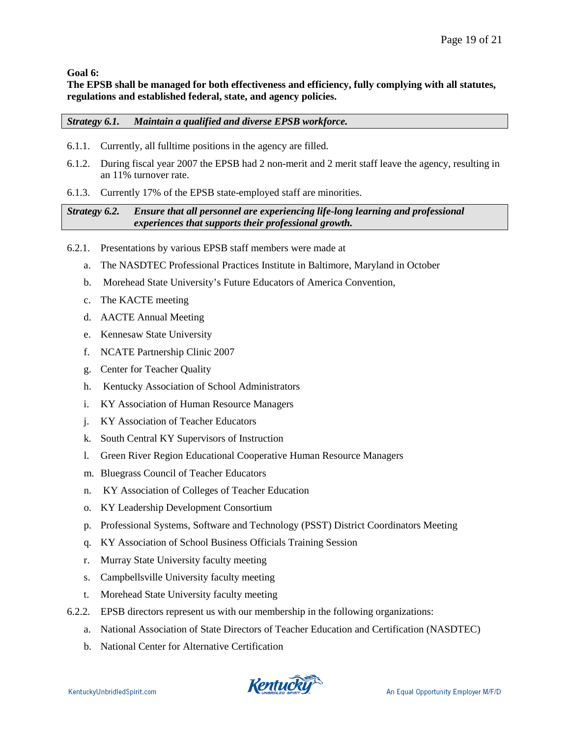**Goal 6:**

**The EPSB shall be managed for both effectiveness and efficiency, fully complying with all statutes, regulations and established federal, state, and agency policies.** 

# *Strategy 6.1. Maintain a qualified and diverse EPSB workforce.*

- 6.1.1. Currently, all fulltime positions in the agency are filled.
- 6.1.2. During fiscal year 2007 the EPSB had 2 non-merit and 2 merit staff leave the agency, resulting in an 11% turnover rate.
- 6.1.3. Currently 17% of the EPSB state-employed staff are minorities.

# *Strategy 6.2. Ensure that all personnel are experiencing life-long learning and professional experiences that supports their professional growth.*

- 6.2.1. Presentations by various EPSB staff members were made at
	- a. The NASDTEC Professional Practices Institute in Baltimore, Maryland in October
	- b. Morehead State University's Future Educators of America Convention,
	- c. The KACTE meeting
	- d. AACTE Annual Meeting
	- e. Kennesaw State University
	- f. NCATE Partnership Clinic 2007
	- g. Center for Teacher Quality
	- h. Kentucky Association of School Administrators
	- i. KY Association of Human Resource Managers
	- j. KY Association of Teacher Educators
	- k. South Central KY Supervisors of Instruction
	- l. Green River Region Educational Cooperative Human Resource Managers
	- m. Bluegrass Council of Teacher Educators
	- n. KY Association of Colleges of Teacher Education
	- o. KY Leadership Development Consortium
	- p. Professional Systems, Software and Technology (PSST) District Coordinators Meeting
	- q. KY Association of School Business Officials Training Session
	- r. Murray State University faculty meeting
	- s. Campbellsville University faculty meeting
	- t. Morehead State University faculty meeting
- 6.2.2. EPSB directors represent us with our membership in the following organizations:
	- a. National Association of State Directors of Teacher Education and Certification (NASDTEC)
	- b. National Center for Alternative Certification

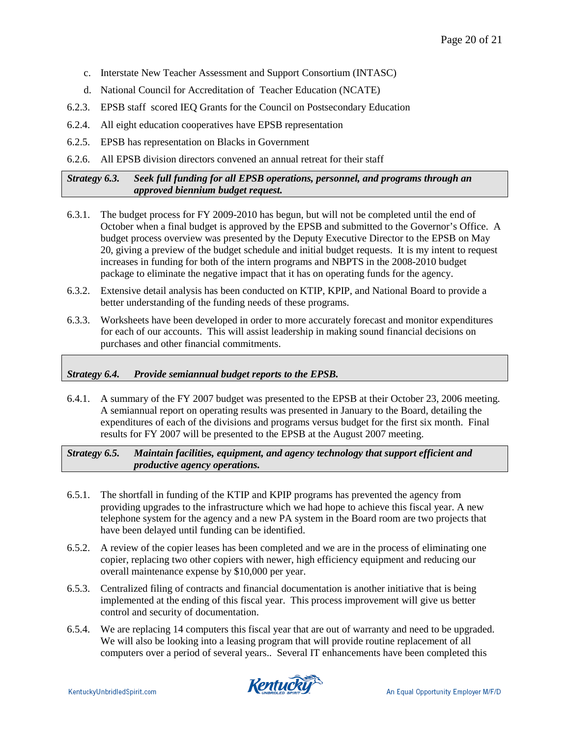- c. Interstate New Teacher Assessment and Support Consortium (INTASC)
- d. National Council for Accreditation of Teacher Education (NCATE)
- 6.2.3. EPSB staff scored IEQ Grants for the Council on Postsecondary Education
- 6.2.4. All eight education cooperatives have EPSB representation
- 6.2.5. EPSB has representation on Blacks in Government
- 6.2.6. All EPSB division directors convened an annual retreat for their staff

# *Strategy 6.3. Seek full funding for all EPSB operations, personnel, and programs through an approved biennium budget request.*

- 6.3.1. The budget process for FY 2009-2010 has begun, but will not be completed until the end of October when a final budget is approved by the EPSB and submitted to the Governor's Office. A budget process overview was presented by the Deputy Executive Director to the EPSB on May 20, giving a preview of the budget schedule and initial budget requests. It is my intent to request increases in funding for both of the intern programs and NBPTS in the 2008-2010 budget package to eliminate the negative impact that it has on operating funds for the agency.
- 6.3.2. Extensive detail analysis has been conducted on KTIP, KPIP, and National Board to provide a better understanding of the funding needs of these programs.
- 6.3.3. Worksheets have been developed in order to more accurately forecast and monitor expenditures for each of our accounts. This will assist leadership in making sound financial decisions on purchases and other financial commitments.

# *Strategy 6.4. Provide semiannual budget reports to the EPSB.*

6.4.1. A summary of the FY 2007 budget was presented to the EPSB at their October 23, 2006 meeting. A semiannual report on operating results was presented in January to the Board, detailing the expenditures of each of the divisions and programs versus budget for the first six month. Final results for FY 2007 will be presented to the EPSB at the August 2007 meeting.

*Strategy 6.5. Maintain facilities, equipment, and agency technology that support efficient and productive agency operations.*

- 6.5.1. The shortfall in funding of the KTIP and KPIP programs has prevented the agency from providing upgrades to the infrastructure which we had hope to achieve this fiscal year. A new telephone system for the agency and a new PA system in the Board room are two projects that have been delayed until funding can be identified.
- 6.5.2. A review of the copier leases has been completed and we are in the process of eliminating one copier, replacing two other copiers with newer, high efficiency equipment and reducing our overall maintenance expense by \$10,000 per year.
- 6.5.3. Centralized filing of contracts and financial documentation is another initiative that is being implemented at the ending of this fiscal year. This process improvement will give us better control and security of documentation.
- 6.5.4. We are replacing 14 computers this fiscal year that are out of warranty and need to be upgraded. We will also be looking into a leasing program that will provide routine replacement of all computers over a period of several years.. Several IT enhancements have been completed this